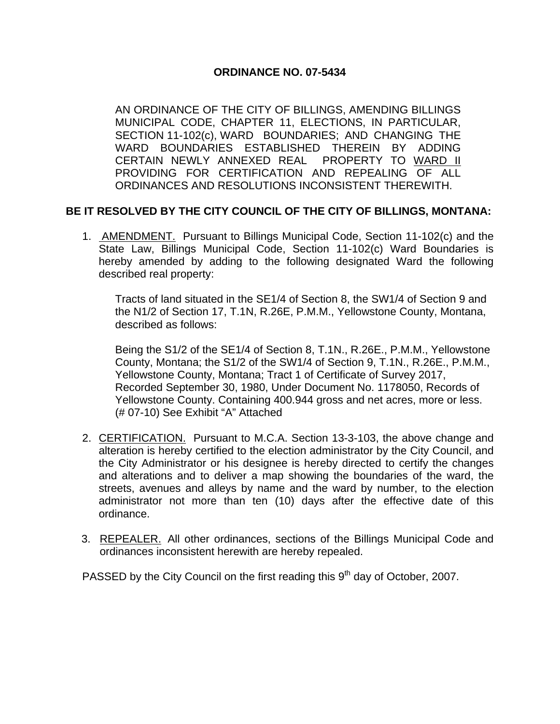## **ORDINANCE NO. 07-5434**

AN ORDINANCE OF THE CITY OF BILLINGS, AMENDING BILLINGS MUNICIPAL CODE, CHAPTER 11, ELECTIONS, IN PARTICULAR, SECTION 11-102(c), WARD BOUNDARIES; AND CHANGING THE WARD BOUNDARIES ESTABLISHED THEREIN BY ADDING CERTAIN NEWLY ANNEXED REAL PROPERTY TO WARD II PROVIDING FOR CERTIFICATION AND REPEALING OF ALL ORDINANCES AND RESOLUTIONS INCONSISTENT THEREWITH.

## **BE IT RESOLVED BY THE CITY COUNCIL OF THE CITY OF BILLINGS, MONTANA:**

1. AMENDMENT. Pursuant to Billings Municipal Code, Section 11-102(c) and the State Law, Billings Municipal Code, Section 11-102(c) Ward Boundaries is hereby amended by adding to the following designated Ward the following described real property:

Tracts of land situated in the SE1/4 of Section 8, the SW1/4 of Section 9 and the N1/2 of Section 17, T.1N, R.26E, P.M.M., Yellowstone County, Montana, described as follows:

Being the S1/2 of the SE1/4 of Section 8, T.1N., R.26E., P.M.M., Yellowstone County, Montana; the S1/2 of the SW1/4 of Section 9, T.1N., R.26E., P.M.M., Yellowstone County, Montana; Tract 1 of Certificate of Survey 2017, Recorded September 30, 1980, Under Document No. 1178050, Records of Yellowstone County. Containing 400.944 gross and net acres, more or less. (# 07-10) See Exhibit "A" Attached

- 2. CERTIFICATION. Pursuant to M.C.A. Section 13-3-103, the above change and alteration is hereby certified to the election administrator by the City Council, and the City Administrator or his designee is hereby directed to certify the changes and alterations and to deliver a map showing the boundaries of the ward, the streets, avenues and alleys by name and the ward by number, to the election administrator not more than ten (10) days after the effective date of this ordinance.
- 3. REPEALER. All other ordinances, sections of the Billings Municipal Code and ordinances inconsistent herewith are hereby repealed.

PASSED by the City Council on the first reading this  $9<sup>th</sup>$  day of October, 2007.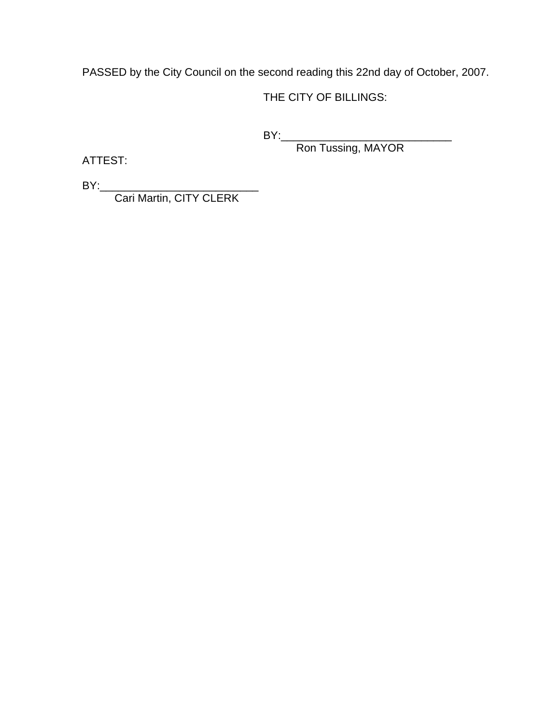PASSED by the City Council on the second reading this 22nd day of October, 2007.

THE CITY OF BILLINGS:

BY:\_\_\_\_\_\_\_\_\_\_\_\_\_\_\_\_\_\_\_\_\_\_\_\_\_\_\_\_

Ron Tussing, MAYOR

ATTEST:

BY:\_\_\_\_\_\_\_\_\_\_\_\_\_\_\_\_\_\_\_\_\_\_\_\_\_\_

Cari Martin, CITY CLERK